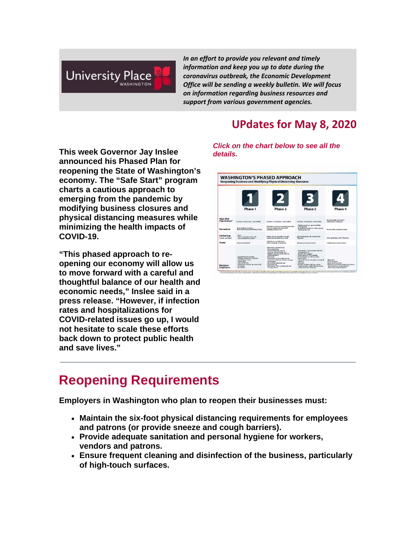

*In an effort to provide you relevant and timely information and keep you up to date during the coronavirus outbreak, the Economic Development Office will be sending a weekly bulletin. We will focus on information regarding business resources and support from various government agencies.*

#### **UPdates for May 8, 2020**

**This week Governor Jay Inslee announced his Phased Plan for reopening the State of Washington's economy. The ["Safe Start"](https://nam12.safelinks.protection.outlook.com/?url=http%3A%2F%2Fr20.rs6.net%2Ftn.jsp%3Ff%3D001v5Enb-zpEtviWpY3CU-Vv_Q9svUm2uTkkPEATSpAGwYc71e10lviNnoZO082h8DKmO0kUMft52W6ZqwnjRjCDJS0NIUgzNI0yj2_Kt-r3ugxtzIbdN_J5Rhujvu8btfAa1QzM-bE0Kf1p1GhJNeRwVbMIPFCln_lsSXDyBWJRfgL4RgMXAF8LxnWCuOMXRrHySCfzgxGOMA8Q1GcIkheBkUL0pKEm3a2%26c%3DwlwSD_IjCj2VG3i2ikqEy6uMdyQAhFXI5ybh7WEHh8Q3PTXSlKXD2w%3D%3D%26ch%3DlZgwv7Z0Jxhn7YYce5m7wQBuFejW8EAAQWeCS7cgmYRO0ffak4ix6g%3D%3D&data=01%7C01%7Cbmetcalf%40cityofup.com%7C8c476508ccf34ab0444408d7f39d490e%7C964f2256ad7d4cd99f27e9cb8052aa15%7C0&sdata=8ofZZ7Nj5vR4WoQdFHjTScITM1MnIjlaZWtCnOdsTZA%3D&reserved=0) program charts a cautious approach to emerging from the pandemic by modifying business closures and physical distancing measures while minimizing the health impacts of COVID-19.**

**"This phased approach to reopening our economy will allow us to move forward with a careful and thoughtful balance of our health and economic needs," Inslee said in a press release. "However, if infection rates and hospitalizations for COVID-related issues go up, I would not hesitate to scale these efforts back down to protect public health and save lives."**

*Click on the chart below to see all the details.*



### **Reopening Requirements**

**Employers in Washington who plan to reopen their businesses must:**

- **Maintain the six-foot physical distancing requirements for employees and patrons (or provide sneeze and cough barriers).**
- **Provide adequate sanitation and personal hygiene for workers, vendors and patrons.**
- **Ensure frequent cleaning and disinfection of the business, particularly of high-touch surfaces.**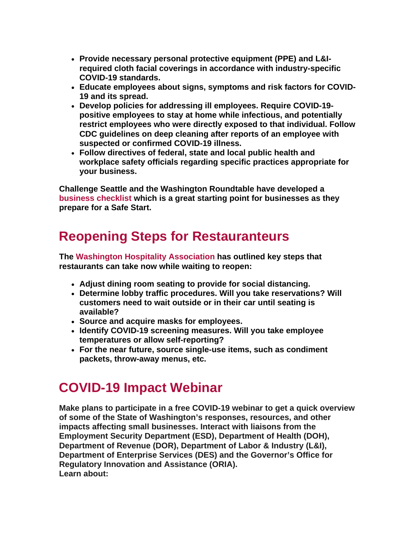- **Provide necessary personal protective equipment (PPE) and L&Irequired cloth facial coverings in accordance with industry-specific COVID-19 standards.**
- **Educate employees about signs, symptoms and risk factors for COVID-19 and its spread.**
- **Develop policies for addressing ill employees. Require COVID-19 positive employees to stay at home while infectious, and potentially restrict employees who were directly exposed to that individual. Follow CDC guidelines on deep cleaning after reports of an employee with suspected or confirmed COVID-19 illness.**
- **Follow directives of federal, state and local public health and workplace safety officials regarding specific practices appropriate for your business.**

**Challenge Seattle and the Washington Roundtable have developed a [business checklist](https://nam12.safelinks.protection.outlook.com/?url=http%3A%2F%2Fr20.rs6.net%2Ftn.jsp%3Ff%3D001v5Enb-zpEtviWpY3CU-Vv_Q9svUm2uTkkPEATSpAGwYc71e10lviNnoZO082h8DKHyLxk59m52Fd7CYZeSITjpI4CGuQxUgqxHtwZIMhId9-rgPYxPFBuksJK32yQcxJIm5kdIt2ew05vhVHNYrReDnwHPTe3plnzIKpT91zF_QjTBKltfQr6n6gmtFrNOnQZpmVhqFbBLx7ihuo0Kpiv3Whkib8KGosrpJyGsDDw26RZi76UDKqBDAvD0nCmDrSnPBq6RAzMtKRCRJKFMbg-Q%3D%3D%26c%3DwlwSD_IjCj2VG3i2ikqEy6uMdyQAhFXI5ybh7WEHh8Q3PTXSlKXD2w%3D%3D%26ch%3DlZgwv7Z0Jxhn7YYce5m7wQBuFejW8EAAQWeCS7cgmYRO0ffak4ix6g%3D%3D&data=01%7C01%7Cbmetcalf%40cityofup.com%7C8c476508ccf34ab0444408d7f39d490e%7C964f2256ad7d4cd99f27e9cb8052aa15%7C0&sdata=EkPUrWyYKq5JBq1eGdSxOE%2F6ekMxcqVEgc2Es0Z4SNs%3D&reserved=0) which is a great starting point for businesses as they prepare for a Safe Start.** 

## **Reopening Steps for Restauranteurs**

**The [Washington Hospitality Association](https://nam12.safelinks.protection.outlook.com/?url=http%3A%2F%2Fr20.rs6.net%2Ftn.jsp%3Ff%3D001v5Enb-zpEtviWpY3CU-Vv_Q9svUm2uTkkPEATSpAGwYc71e10lviNnoZO082h8DK0TJvd6xyqEfr73yKOkvWLjd1jQUG60J2bbTj4anAAgiLoNqxROSkIGRdVPjZ0hIxu1QJI3t-q5SyIsE1oHB-lxedurno3RxUt5Y0bdW-u1_LojbTmXmQv7x4HmugL_QbFw3bGRWFP-ee-akM8o1p6ePdtnPVVQxw%26c%3DwlwSD_IjCj2VG3i2ikqEy6uMdyQAhFXI5ybh7WEHh8Q3PTXSlKXD2w%3D%3D%26ch%3DlZgwv7Z0Jxhn7YYce5m7wQBuFejW8EAAQWeCS7cgmYRO0ffak4ix6g%3D%3D&data=01%7C01%7Cbmetcalf%40cityofup.com%7C8c476508ccf34ab0444408d7f39d490e%7C964f2256ad7d4cd99f27e9cb8052aa15%7C0&sdata=dXkUobJGheBpaLl0XnyjIddrQAONMeoUXvBRY4cYWwY%3D&reserved=0) has outlined key steps that restaurants can take now while waiting to reopen:**

- **Adjust dining room seating to provide for social distancing.**
- **Determine lobby traffic procedures. Will you take reservations? Will customers need to wait outside or in their car until seating is available?**
- **Source and acquire masks for employees.**
- **Identify COVID-19 screening measures. Will you take employee temperatures or allow self-reporting?**
- **For the near future, source single-use items, such as condiment packets, throw-away menus, etc.**

# **COVID-19 Impact Webinar**

**Make plans to participate in a free COVID-19 webinar to get a quick overview of some of the State of Washington's responses, resources, and other impacts affecting small businesses. Interact with liaisons from the Employment Security Department (ESD), Department of Health (DOH), Department of Revenue (DOR), Department of Labor & Industry (L&I), Department of Enterprise Services (DES) and the Governor's Office for Regulatory Innovation and Assistance (ORIA). Learn about:**